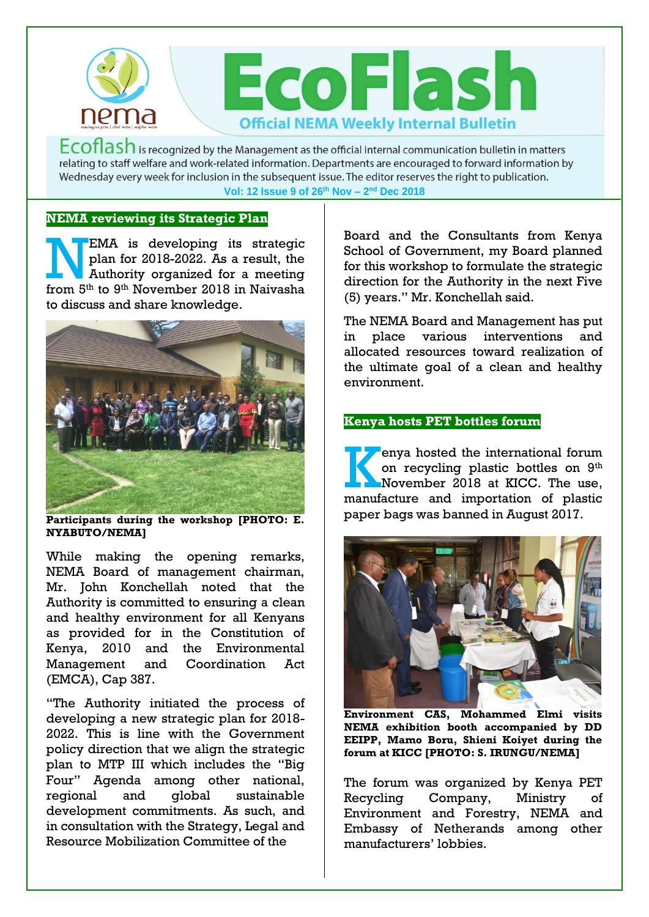

 $Ecoflash$  is recognized by the Management as the official internal communication bulletin in matters relating to staff welfare and work-related information. Departments are encouraged to forward information by Wednesday every week for inclusion in the subsequent issue. The editor reserves the right to publication. **Vol: 12 Issue 9 of 26th Nov – 2 nd Dec 2018**

## **NEMA reviewing its Strategic Plan**

EMA is developing its strategic plan for 2018-2022. As a result, the Authority organized for a meeting **FMA** is developing its strategic<br>plan for 2018-2022. As a result, the<br>Authority organized for a meeting<br>from 5<sup>th</sup> to 9<sup>th</sup> November 2018 in Naivasha to discuss and share knowledge.



**Participants during the workshop [PHOTO: E. NYABUTO/NEMA]**

While making the opening remarks, NEMA Board of management chairman, Mr. John Konchellah noted that the Authority is committed to ensuring a clean and healthy environment for all Kenyans as provided for in the Constitution of Kenya, 2010 and the Environmental Management and Coordination Act (EMCA), Cap 387.

"The Authority initiated the process of developing a new strategic plan for 2018- 2022. This is line with the Government policy direction that we align the strategic plan to MTP III which includes the "Big Four" Agenda among other national, regional and global sustainable development commitments. As such, and in consultation with the Strategy, Legal and Resource Mobilization Committee of the

Board and the Consultants from Kenya School of Government, my Board planned for this workshop to formulate the strategic direction for the Authority in the next Five (5) years." Mr. Konchellah said.

The NEMA Board and Management has put in place various interventions and allocated resources toward realization of the ultimate goal of a clean and healthy environment.

## **Kenya hosts PET bottles forum**

enya hosted the international forum on recycling plastic bottles on 9th November 2018 at KICC. The use, enya hosted the international forum<br>on recycling plastic bottles on 9<sup>th</sup><br>November 2018 at KICC. The use,<br>manufacture and importation of plastic paper bags was banned in August 2017.



**Environment CAS, Mohammed Elmi visits NEMA exhibition booth accompanied by DD EEIPP, Mamo Boru, Shieni Koiyet during the forum at KICC [PHOTO: S. IRUNGU/NEMA]** 

The forum was organized by Kenya PET Recycling Company, Ministry of Environment and Forestry, NEMA and Embassy of Netherands among other manufacturers' lobbies.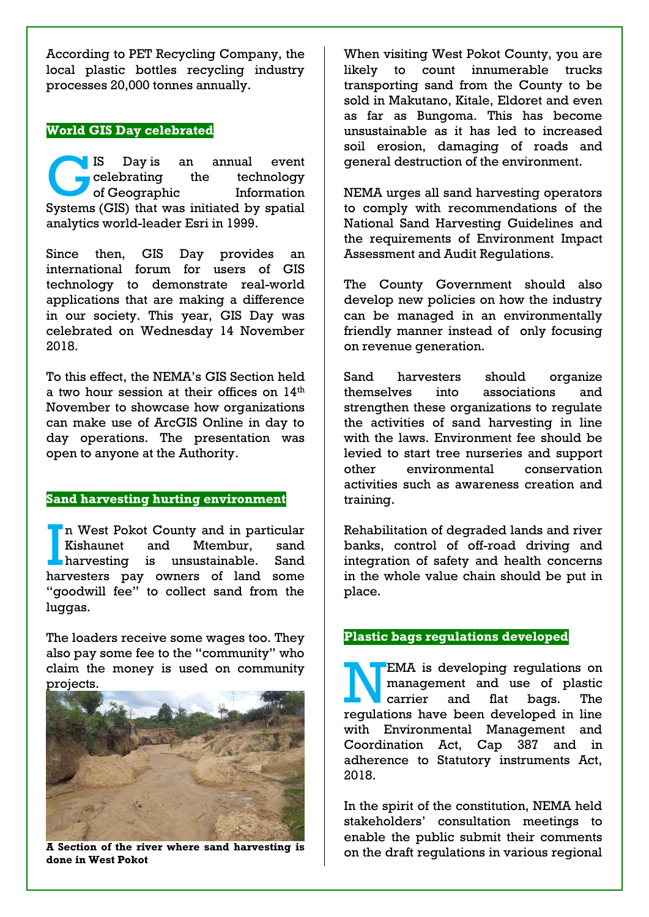According to PET Recycling Company, the local plastic bottles recycling industry processes 20,000 tonnes annually.

# **World GIS Day celebrated**

IS Day is an annual event celebrating the technology of Geographic Information IS Day is an annual event<br>
celebrating the technology<br>
of Geographic Information<br>
Systems (GIS) that was initiated by spatial analytics world-leader [Esri](https://en.wikipedia.org/wiki/Esri) in 1999.

Since then, GIS Day provides an international forum for users of GIS technology to demonstrate real-world applications that are making a difference in our society. This year, GIS Day was celebrated on Wednesday 14 November 2018.

To this effect, the NEMA's GIS Section held a two hour session at their offices on 14<sup>th</sup> November to showcase how organizations can make use of ArcGIS Online in day to day operations. The presentation was open to anyone at the Authority.

## **Sand harvesting hurting environment**

n West Pokot County and in particular Kishaunet and Mtembur, sand harvesting is unsustainable. Sand In West Pokot County and in particular<br>
Kishaunet and Mtembur, sand<br>
harvesting is unsustainable. Sand<br>
harvesters pay owners of land some "goodwill fee" to collect sand from the luggas.

The loaders receive some wages too. They also pay some fee to the "community" who claim the money is used on community projects.



**A Section of the river where sand harvesting is done in West Pokot**

When visiting West Pokot County, you are likely to count innumerable trucks transporting sand from the County to be sold in Makutano, Kitale, Eldoret and even as far as Bungoma. This has become unsustainable as it has led to increased soil erosion, damaging of roads and general destruction of the environment.

NEMA urges all sand harvesting operators to comply with recommendations of the National Sand Harvesting Guidelines and the requirements of Environment Impact Assessment and Audit Regulations.

The County Government should also develop new policies on how the industry can be managed in an environmentally friendly manner instead of only focusing on revenue generation.

Sand harvesters should organize themselves into associations and strengthen these organizations to regulate the activities of sand harvesting in line with the laws. Environment fee should be levied to start tree nurseries and support other environmental conservation activities such as awareness creation and training.

Rehabilitation of degraded lands and river banks, control of off-road driving and integration of safety and health concerns in the whole value chain should be put in place.

# **Plastic bags regulations developed**

EMA is developing regulations on management and use of plastic carrier and flat bags. The EMA is developing regulations on management and use of plastic carrier and flat bags. The regulations have been developed in line with Environmental Management and Coordination Act, Cap 387 and in adherence to Statutory instruments Act, 2018.

In the spirit of the constitution, NEMA held stakeholders' consultation meetings to enable the public submit their comments on the draft regulations in various regional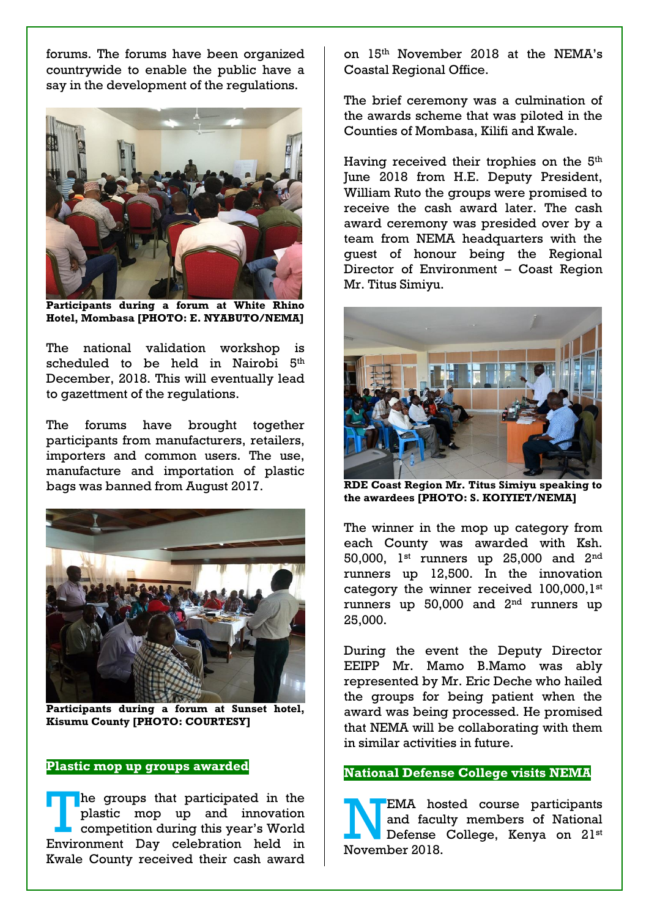forums. The forums have been organized countrywide to enable the public have a say in the development of the regulations.



**Participants during a forum at White Rhino Hotel, Mombasa [PHOTO: E. NYABUTO/NEMA]**

The national validation workshop is scheduled to be held in Nairobi 5<sup>th</sup> December, 2018. This will eventually lead to gazettment of the regulations.

The forums have brought together participants from manufacturers, retailers, importers and common users. The use, manufacture and importation of plastic bags was banned from August 2017.



**Participants during a forum at Sunset hotel, Kisumu County [PHOTO: COURTESY]** 

### **Plastic mop up groups awarded**

he groups that participated in the plastic mop up and innovation competition during this year's World Environment Day celebration held in Kwale County received their cash award The groups that participated in the<br>plastic mop up and innovation<br>competition during this year's World<br>Environment Day celebration held in

on 15th November 2018 at the NEMA's Coastal Regional Office.

The brief ceremony was a culmination of the awards scheme that was piloted in the Counties of Mombasa, Kilifi and Kwale.

Having received their trophies on the 5<sup>th</sup> June 2018 from H.E. Deputy President, William Ruto the groups were promised to receive the cash award later. The cash award ceremony was presided over by a team from NEMA headquarters with the guest of honour being the Regional Director of Environment – Coast Region Mr. Titus Simiyu.



**RDE Coast Region Mr. Titus Simiyu speaking to the awardees [PHOTO: S. KOIYIET/NEMA]**

The winner in the mop up category from each County was awarded with Ksh. 50,000, 1<sup>st</sup> runners up 25,000 and 2<sup>nd</sup> runners up 12,500. In the innovation category the winner received 100,000,1st runners up  $50,000$  and  $2<sup>nd</sup>$  runners up 25,000.

During the event the Deputy Director EEIPP Mr. Mamo B.Mamo was ably represented by Mr. Eric Deche who hailed the groups for being patient when the award was being processed. He promised that NEMA will be collaborating with them in similar activities in future.

#### **National Defense College visits NEMA**

EMA hosted course participants and faculty members of National Defense College, Kenya on 21st November 2018.